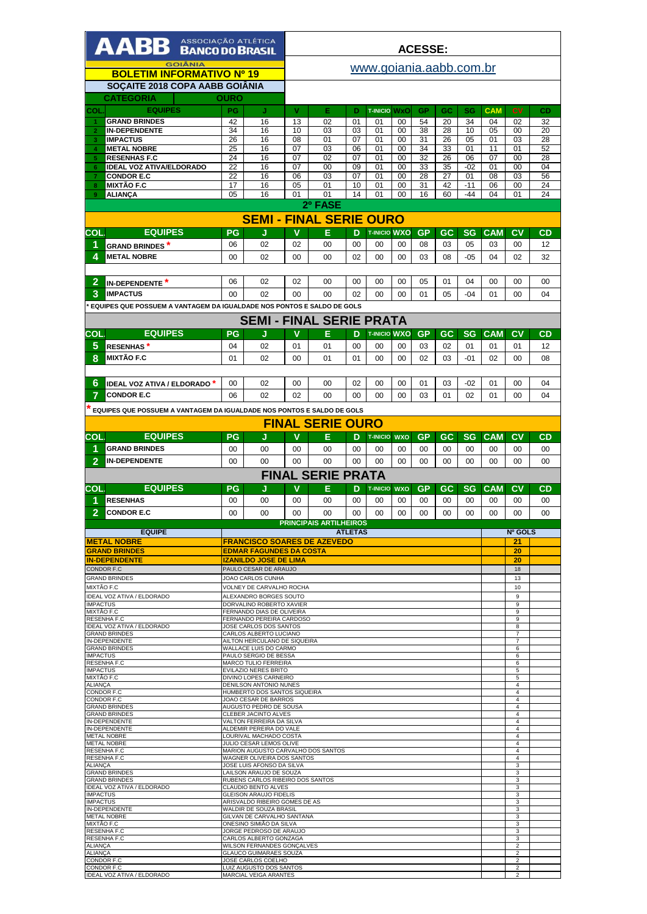| AABB <b>ASSOCIAÇÃO ATLÉTICA</b>                                        |                                |                                                                  | <b>ACESSE:</b> |                               |                |                       |                  |                 |           |                 |                  |                                           |          |
|------------------------------------------------------------------------|--------------------------------|------------------------------------------------------------------|----------------|-------------------------------|----------------|-----------------------|------------------|-----------------|-----------|-----------------|------------------|-------------------------------------------|----------|
| <b>GOIÂNIA</b>                                                         |                                |                                                                  |                | www.goiania.aabb.com.br       |                |                       |                  |                 |           |                 |                  |                                           |          |
| <b>BOLETIM INFORMATIVO Nº 19</b><br>SOÇAITE 2018 COPA AABB GOIÂNIA     |                                |                                                                  |                |                               |                |                       |                  |                 |           |                 |                  |                                           |          |
| CATEGORIA                                                              | OURO                           |                                                                  |                |                               |                |                       |                  |                 |           |                 |                  |                                           |          |
| <b>EQUIPES</b><br>COL                                                  | PG                             | J                                                                | V              | E                             | D              | <b>T-INICIO WXO</b>   |                  | GP              | GC        | SG              | <b>CAM</b>       | <b>CV</b>                                 | CD       |
| <b>GRAND BRINDES</b>                                                   | 42                             | 16                                                               | 13             | 02                            | 01             | 01                    | 00               | 54              | 20        | 34              | 04               | 02                                        | 32       |
| <b>IN-DEPENDENTE</b><br>$\overline{2}$                                 | 34                             | 16                                                               | 10             | 03                            | 03             | 01                    | 00               | 38              | 28        | 10              | 05               | 00                                        | 20       |
| 3<br><b>IMPACTUS</b><br><b>METAL NOBRE</b><br>4                        | 26<br>25                       | 16                                                               | 08<br>07       | 01                            | 07<br>06       | 01<br>01              | 00<br>00         | 31<br>34        | 26        | 05<br>01        | 01<br>11         | 03<br>01                                  | 28       |
| <b>RESENHAS F.C</b><br>5                                               | 24                             | 16<br>16                                                         | 07             | 03<br>02                      | 07             | 01                    | 00               | 32              | 33<br>26  | 06              | 07               | 00                                        | 52<br>28 |
| <b>IDEAL VOZ ATIVA/ELDORADO</b><br>$6\phantom{1}$                      | 22                             | 16                                                               | 07             | 00                            | 09             | 01                    | 00               | 33              | 35        | $-02$           | 01               | 00                                        | 04       |
| <b>CONDOR E.C</b><br><b>MIXTÃO F.C</b><br>8                            | 22<br>17                       | 16<br>16                                                         | 06<br>05       | 03<br>01                      | 07<br>10       | 01<br>01              | 00<br>00         | 28<br>31        | 27<br>42  | 01<br>$-11$     | 08<br>06         | 03<br>00                                  | 56<br>24 |
| 9<br><b>ALIANÇA</b>                                                    | 05                             | 16                                                               | 01             | 01                            | 14             | 01                    | 00               | 16              | 60        | -44             | 04               | 01                                        | 24       |
|                                                                        |                                |                                                                  |                | 2º FASE                       |                |                       |                  |                 |           |                 |                  |                                           |          |
|                                                                        | <b>SEMI - FINAL SERIE OURO</b> |                                                                  |                |                               |                |                       |                  |                 |           |                 |                  |                                           |          |
| <b>EQUIPES</b><br>COL.                                                 | PG                             | J                                                                | v              | E                             | D              | <b>T-INICIO WXO</b>   |                  | <b>GP</b>       | <b>GC</b> | <b>SG</b>       | <b>CAM</b>       | C <sub>V</sub>                            | CD       |
| 1<br><b>GRAND BRINDES</b> *                                            | 06                             | 02                                                               | 02             | 00                            | 00             | 00                    | 00               | 08              | 03        | 05              | 03               | 00                                        | 12       |
| 4<br><b>METAL NOBRE</b>                                                | 00                             | 02                                                               | 00             | 00                            | 02             | 00                    | 00               | 03              | 08        | $-05$           | 04               | 02                                        | 32       |
|                                                                        |                                |                                                                  |                |                               |                |                       |                  |                 |           |                 |                  |                                           |          |
| $\overline{2}$<br><b>IN-DEPENDENTE</b> *                               | 06                             | 02                                                               | 02             | 00                            | 00             | 00                    | 00               | 05              | 01        | 04              | 00               | 00                                        | 00       |
| 3<br><b>IMPACTUS</b>                                                   | 00                             | 02                                                               | $00 \,$        | 00                            | 02             | 00                    | 00               | 01              | 05        | $-04$           | 01               | 00                                        | 04       |
| EQUIPES QUE POSSUEM A VANTAGEM DA IGUALDADE NOS PONTOS E SALDO DE GOLS |                                |                                                                  |                |                               |                |                       |                  |                 |           |                 |                  |                                           |          |
|                                                                        |                                | <b>SEMI - FINAL SERIE PRATA</b>                                  |                |                               |                |                       |                  |                 |           |                 |                  |                                           |          |
| <b>EQUIPES</b><br><b>COL</b>                                           | PG                             | J                                                                | v              | Е                             | D              | <b>T-INICIO WXO</b>   |                  | <b>GP</b>       | GC        | <b>SG</b>       | <b>CAM</b>       | CV                                        | CD       |
| 5<br><b>RESENHAS</b> *                                                 | 04                             | 02                                                               | 01             | 01                            | 00             | 00                    | 00               | 03              | 02        | 01              | 01               | 01                                        | 12       |
| 8<br>MIXTÃO F.C                                                        | 01                             | 02                                                               | 00             | 01                            | 01             | 00                    | 00               | 02              | 03        | -01             | 02               | 00                                        | 08       |
|                                                                        |                                |                                                                  |                |                               |                |                       |                  |                 |           |                 |                  |                                           |          |
| 6<br><b>IDEAL VOZ ATIVA / ELDORADO</b>                                 | 00                             | 02                                                               | 00             | 00                            | 02             | 00                    | 00               | 01              | 03        | $-02$           | 01               | 00                                        | 04       |
| 7<br><b>CONDOR E.C</b>                                                 | 06                             | 02                                                               | 02             | 00                            | 00             | 00                    | 00               | 03              | 01        | 02              | 01               | 00                                        | 04       |
| EQUIPES QUE POSSUEM A VANTAGEM DA IGUALDADE NOS PONTOS E SALDO DE GOLS |                                |                                                                  |                |                               |                |                       |                  |                 |           |                 |                  |                                           |          |
|                                                                        |                                |                                                                  |                | <b>FINAL SERIE OURO</b>       |                |                       |                  |                 |           |                 |                  |                                           |          |
| <b>EQUIPES</b><br>COL                                                  |                                |                                                                  | v              |                               |                |                       |                  |                 |           |                 |                  | C <sub>V</sub>                            |          |
| <b>GRAND BRINDES</b>                                                   | PG<br>00                       | J<br>00                                                          | 00             | E<br>00                       | D<br>00        | <b>T-INICIO</b><br>00 | <b>WXO</b><br>00 | <b>GP</b><br>00 | GC<br>00  | <b>SG</b><br>00 | <b>CAM</b><br>00 | 00                                        | CD<br>00 |
| $\overline{2}$<br><b>IN-DEPENDENTE</b>                                 | 00                             | 00                                                               | 00             | 00                            | 00             | 00                    | 00               | 00              | 00        | 00              | 00               | 00                                        | 00       |
|                                                                        |                                |                                                                  |                |                               |                |                       |                  |                 |           |                 |                  |                                           |          |
|                                                                        |                                |                                                                  |                |                               |                |                       |                  |                 |           |                 |                  |                                           |          |
|                                                                        |                                |                                                                  |                | <b>FINAL SERIE PRATA</b>      |                |                       |                  |                 |           |                 |                  |                                           |          |
| <b>EQUIPES</b><br>COL                                                  | PG                             | J                                                                | v              | Е                             | D              | <b>T-INICIO</b>       | <b>WXO</b>       | GP              | GC        | <b>SG</b>       | <b>CAM</b>       | CV                                        | CD       |
| <b>RESENHAS</b><br>1                                                   | 00                             | 00                                                               | 00             | 00                            | 00             | 00                    | 00               | 00              | 00        | 00              | 00               | 00                                        | 00       |
| $\overline{2}$<br><b>CONDOR E.C</b>                                    | 00                             | 00                                                               | 00             | 00                            | 00             | 00                    | 00               | 00              | 00        | 00              | 00               | 00                                        | 00       |
| <b>EQUIPE</b>                                                          |                                |                                                                  |                | <b>PRINCIPAIS ARTILHEIROS</b> | <b>ATLETAS</b> |                       |                  |                 |           |                 |                  | Nº GOLS                                   |          |
| <b>METAL NOBRE</b>                                                     |                                | <b>FRANCISCO SOARES DE AZEVEDO</b>                               |                |                               |                |                       |                  |                 |           |                 |                  | 21                                        |          |
| <b>GRAND BRINDES</b><br><b>IN-DEPENDENTE</b>                           |                                | <b>EDMAR FAGUNDES DA COSTA</b><br><b>IZANILDO JOSE DE LIMA</b>   |                |                               |                |                       |                  |                 |           |                 |                  | 20<br>20                                  |          |
| <b>CONDOR F.C</b>                                                      |                                | PAULO CESAR DE ARAUJO                                            |                |                               |                |                       |                  |                 |           |                 |                  | 18                                        |          |
| <b>GRAND BRINDES</b>                                                   |                                | JOAO CARLOS CUNHA                                                |                |                               |                |                       |                  |                 |           |                 |                  | 13                                        |          |
| MIXTÃO F.C<br>IDEAL VOZ ATIVA / ELDORADO                               |                                | VOLNEY DE CARVALHO ROCHA<br>ALEXANDRO BORGES SOUTO               |                |                               |                |                       |                  |                 |           |                 |                  | 10<br>9                                   |          |
| <b>IMPACTUS</b>                                                        |                                | DORVALINO ROBERTO XAVIER                                         |                |                               |                |                       |                  |                 |           |                 |                  | 9                                         |          |
| MIXTÃO F.C<br><b>RESENHA F.C</b>                                       |                                | FERNANDO DIAS DE OLIVEIRA<br>FERNANDO PEREIRA CARDOSO            |                |                               |                |                       |                  |                 |           |                 |                  | 9<br>9                                    |          |
| IDEAL VOZ ATIVA / ELDORADO<br><b>GRAND BRINDES</b>                     |                                | JOSE CARLOS DOS SANTOS<br>CARLOS ALBERTO LUCIANO                 |                |                               |                |                       |                  |                 |           |                 |                  | 8<br>$\overline{7}$                       |          |
| IN-DEPENDENTE                                                          |                                | AILTON HERCULANO DE SIQUEIRA                                     |                |                               |                |                       |                  |                 |           |                 |                  | 7                                         |          |
| <b>GRAND BRINDES</b><br><b>IMPACTUS</b>                                |                                | WALLACE LUIS DO CARMO<br>PAULO SERGIO DE BESSA                   |                |                               |                |                       |                  |                 |           |                 |                  | 6<br>6                                    |          |
| <b>RESENHA F.C</b><br><b>IMPACTUS</b>                                  |                                | MARCO TULIO FERREIRA<br>EVILAZIO NERES BRITO                     |                |                               |                |                       |                  |                 |           |                 |                  | 6<br>$\sqrt{5}$                           |          |
| MIXTÃO F.C<br><b>ALIANÇA</b>                                           |                                | DIVINO LOPES CARNEIRO<br>DENILSON ANTONIO NUNES                  |                |                               |                |                       |                  |                 |           |                 |                  | 5<br>$\overline{4}$                       |          |
| <b>CONDOR F.C</b>                                                      |                                | HUMBERTO DOS SANTOS SIQUEIRA                                     |                |                               |                |                       |                  |                 |           |                 |                  | $\overline{4}$                            |          |
| CONDOR F.C<br><b>GRAND BRINDES</b>                                     |                                | JOAO CESAR DE BARROS<br>AUGUSTO PEDRO DE SOUSA                   |                |                               |                |                       |                  |                 |           |                 |                  | $\overline{4}$<br>$\overline{4}$          |          |
| <b>GRAND BRINDES</b><br><b>IN-DEPENDENTE</b>                           |                                | CLEBER JACINTO ALVES<br>VALTON FERREIRA DA SILVA                 |                |                               |                |                       |                  |                 |           |                 |                  | $\overline{4}$<br>$\overline{4}$          |          |
| <b>IN-DEPENDENTE</b><br><b>METAL NOBRE</b>                             |                                | ALDEMIR PEREIRA DO VALE<br>LOURIVAL MACHADO COSTA                |                |                               |                |                       |                  |                 |           |                 |                  | $\overline{4}$<br>$\overline{4}$          |          |
| <b>METAL NOBRE</b>                                                     |                                | JULIO CESAR LEMOS OLIVE                                          |                |                               |                |                       |                  |                 |           |                 |                  | $\overline{4}$                            |          |
| RESENHA F.C<br>RESENHA F.C                                             |                                | MARION AUGUSTO CARVALHO DOS SANTOS<br>WAGNER OLIVEIRA DOS SANTOS |                |                               |                |                       |                  |                 |           |                 |                  | $\overline{4}$<br>$\overline{4}$          |          |
| ALIANÇA<br><b>GRAND BRINDES</b>                                        |                                | JOSE LUIS AFONSO DA SILVA<br>LAILSON ARAUJO DE SOUZA             |                |                               |                |                       |                  |                 |           |                 |                  | 3<br>3                                    |          |
| <b>GRAND BRINDES</b>                                                   |                                | RUBENS CARLOS RIBEIRO DOS SANTOS                                 |                |                               |                |                       |                  |                 |           |                 |                  | 3                                         |          |
| IDEAL VOZ ATIVA / ELDORADO<br><b>IMPACTUS</b>                          |                                | CLAUDIO BENTO ALVES<br>GLEISON ARAUJO FIDELIS                    |                |                               |                |                       |                  |                 |           |                 |                  | 3<br>3                                    |          |
| <b>IMPACTUS</b><br>IN-DEPENDENTE                                       |                                | ARISVALDO RIBEIRO GOMES DE AS<br>WALDIR DE SOUZA BRASIL          |                |                               |                |                       |                  |                 |           |                 |                  | 3<br>3                                    |          |
| <b>METAL NOBRE</b>                                                     |                                | GILVAN DE CARVALHO SANTANA                                       |                |                               |                |                       |                  |                 |           |                 |                  | 3                                         |          |
| MIXTÃO F.C<br><b>RESENHA F.C</b>                                       |                                | ONESINO SIMIÃO DA SILVA<br>JORGE PEDROSO DE ARAUJO               |                |                               |                |                       |                  |                 |           |                 |                  | 3<br>3                                    |          |
| <b>RESENHA F.C</b><br><b>ALIANCA</b>                                   |                                | CARLOS ALBERTO GONZAGA<br>WILSON FERNANDES GONCALVES             |                |                               |                |                       |                  |                 |           |                 |                  | 3<br>$\overline{2}$                       |          |
| <b>ALIANÇA</b><br><b>CONDOR F.C</b>                                    |                                | GLAUCO GUIMARAES SOUZA<br>JOSE CARLOS COELHO                     |                |                               |                |                       |                  |                 |           |                 |                  | $\overline{2}$<br>$\overline{\mathbf{c}}$ |          |